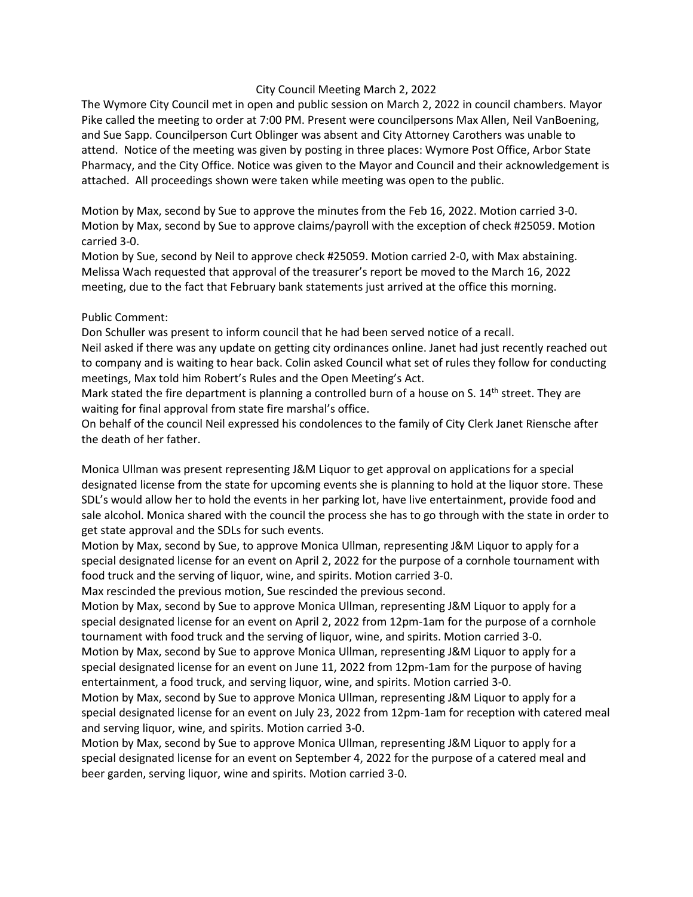## City Council Meeting March 2, 2022

The Wymore City Council met in open and public session on March 2, 2022 in council chambers. Mayor Pike called the meeting to order at 7:00 PM. Present were councilpersons Max Allen, Neil VanBoening, and Sue Sapp. Councilperson Curt Oblinger was absent and City Attorney Carothers was unable to attend. Notice of the meeting was given by posting in three places: Wymore Post Office, Arbor State Pharmacy, and the City Office. Notice was given to the Mayor and Council and their acknowledgement is attached. All proceedings shown were taken while meeting was open to the public.

Motion by Max, second by Sue to approve the minutes from the Feb 16, 2022. Motion carried 3-0. Motion by Max, second by Sue to approve claims/payroll with the exception of check #25059. Motion carried 3-0.

Motion by Sue, second by Neil to approve check #25059. Motion carried 2-0, with Max abstaining. Melissa Wach requested that approval of the treasurer's report be moved to the March 16, 2022 meeting, due to the fact that February bank statements just arrived at the office this morning.

## Public Comment:

Don Schuller was present to inform council that he had been served notice of a recall.

Neil asked if there was any update on getting city ordinances online. Janet had just recently reached out to company and is waiting to hear back. Colin asked Council what set of rules they follow for conducting meetings, Max told him Robert's Rules and the Open Meeting's Act.

Mark stated the fire department is planning a controlled burn of a house on S. 14<sup>th</sup> street. They are waiting for final approval from state fire marshal's office.

On behalf of the council Neil expressed his condolences to the family of City Clerk Janet Riensche after the death of her father.

Monica Ullman was present representing J&M Liquor to get approval on applications for a special designated license from the state for upcoming events she is planning to hold at the liquor store. These SDL's would allow her to hold the events in her parking lot, have live entertainment, provide food and sale alcohol. Monica shared with the council the process she has to go through with the state in order to get state approval and the SDLs for such events.

Motion by Max, second by Sue, to approve Monica Ullman, representing J&M Liquor to apply for a special designated license for an event on April 2, 2022 for the purpose of a cornhole tournament with food truck and the serving of liquor, wine, and spirits. Motion carried 3-0.

Max rescinded the previous motion, Sue rescinded the previous second.

Motion by Max, second by Sue to approve Monica Ullman, representing J&M Liquor to apply for a special designated license for an event on April 2, 2022 from 12pm-1am for the purpose of a cornhole tournament with food truck and the serving of liquor, wine, and spirits. Motion carried 3-0.

Motion by Max, second by Sue to approve Monica Ullman, representing J&M Liquor to apply for a special designated license for an event on June 11, 2022 from 12pm-1am for the purpose of having entertainment, a food truck, and serving liquor, wine, and spirits. Motion carried 3-0.

Motion by Max, second by Sue to approve Monica Ullman, representing J&M Liquor to apply for a special designated license for an event on July 23, 2022 from 12pm-1am for reception with catered meal and serving liquor, wine, and spirits. Motion carried 3-0.

Motion by Max, second by Sue to approve Monica Ullman, representing J&M Liquor to apply for a special designated license for an event on September 4, 2022 for the purpose of a catered meal and beer garden, serving liquor, wine and spirits. Motion carried 3-0.